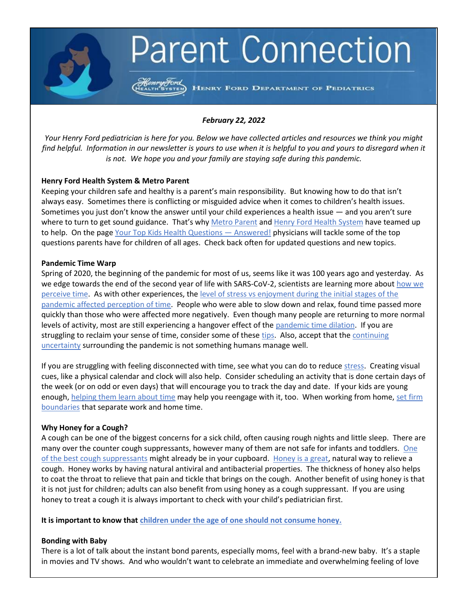# **Parent Connection**

HENRY FORD DEPARTMENT OF PEDIATRICS

## *February 22, 2022*

*Your Henry Ford pediatrician is here for you. Below we have collected articles and resources we think you might find helpful. Information in our newsletter is yours to use when it is helpful to you and yours to disregard when it is not. We hope you and your family are staying safe during this pandemic.*

### **Henry Ford Health System & Metro Parent**

Keeping your children safe and healthy is a parent's main responsibility. But knowing how to do that isn't always easy. Sometimes there is conflicting or misguided advice when it comes to children's health issues. Sometimes you just don't know the answer until your child experiences a health issue — and you aren't sure where to turn to get sound guidance. That's why [Metro Parent](http://www.metroparent.com/) and [Henry Ford Health System](https://www.henryford.com/?utm_source=metroparent&utm_medium=content) have teamed up to help. On the page [Your Top Kids Health Questions](https://www.metroparent.com/top-kids-health-questions/) — Answered! physicians will tackle some of the top questions parents have for children of all ages. Check back often for updated questions and new topics.

### **Pandemic Time Warp**

Spring of 2020, the beginning of the pandemic for most of us, seems like it was 100 years ago and yesterday. As we edge towards the end of the second year of life with SARS-CoV-2, scientists are learning more about [how we](https://www.axios.com/pandemic-time-perception-b1d9f184-6951-4bc5-8f1e-28764c632154.html)  [perceive time.](https://www.axios.com/pandemic-time-perception-b1d9f184-6951-4bc5-8f1e-28764c632154.html) As with other experiences, the [level of stress vs enjoyment during the initial stages of the](https://theconversation.com/how-your-emotional-response-to-the-covid-19-pandemic-changed-your-behavior-and-your-sense-of-time-167957)  [pandemic affected perception of time.](https://theconversation.com/how-your-emotional-response-to-the-covid-19-pandemic-changed-your-behavior-and-your-sense-of-time-167957) People who were able to slow down and relax, found time passed more quickly than those who were affected more negatively. Even though many people are returning to more normal levels of activity, most are still experiencing a hangover effect of the [pandemic time dilation.](https://www.courier-journal.com/story/life/2022/01/13/how-covid-19-pandemic-has-changed-time-perception/6180479001/) If you are struggling to reclaim your sense of time, consider some of these [tips.](https://espyr.com/time-distortion-another-strange-side-effect-of-the-covid-19-pandemic/) Also, accept that the [continuing](https://www.vox.com/22828161/how-to-deal-with-omicron-covid-uncertainty-holiday-planning)  [uncertainty](https://www.vox.com/22828161/how-to-deal-with-omicron-covid-uncertainty-holiday-planning) surrounding the pandemic is not something humans manage well.

If you are struggling with feeling disconnected with time, see what you can do to reduce [stress.](https://www.henryford.com/blog/2020/01/lesser-known-signs-stress) Creating visual cues, like a physical calendar and clock will also help. Consider scheduling an activity that is done certain days of the week (or on odd or even days) that will encourage you to track the day and date. If your kids are young enough, [helping them learn about time](https://www.youclevermonkey.com/2016/11/how-to-teach-telling-time.html) may help you reengage with it, too. When working from home, set firm [boundaries](https://www.themuse.com/advice/separating-work-from-life-3-habits-for-remote-workers) that separate work and home time.

### **Why Honey for a Cough?**

A cough can be one of the biggest concerns for a sick child, often causing rough nights and little sleep. There are many over the counter cough suppressants, however many of them are not safe for infants and toddlers. [One](https://www.npr.org/sections/health-shots/2020/02/08/802750225/for-kids-coughs-swap-the-over-the-counter-syrups-for-honey)  [of the best cough suppressants](https://www.npr.org/sections/health-shots/2020/02/08/802750225/for-kids-coughs-swap-the-over-the-counter-syrups-for-honey) might already be in your cupboard. [Honey is a great,](https://www.verywellhealth.com/honey-for-coughing-1298405) natural way to relieve a cough. Honey works by having natural antiviral and antibacterial properties. The thickness of honey also helps to coat the throat to relieve that pain and tickle that brings on the cough. Another benefit of using honey is that it is not just for children; adults can also benefit from using honey as a cough suppressant. If you are using honey to treat a cough it is always important to check with your child's pediatrician first.

**It is important to know that [children under the age of one should not consume honey.](https://kidshealth.org/en/parents/honey-botulism.html)**

### **Bonding with Baby**

There is a lot of talk about the instant bond parents, especially moms, feel with a brand-new baby. It's a staple in movies and TV shows. And who wouldn't want to celebrate an immediate and overwhelming feeling of love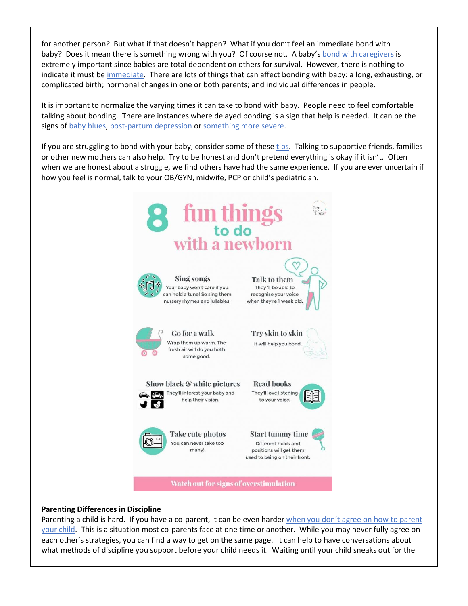for another person? But what if that doesn't happen? What if you don't feel an immediate bond with baby? Does it mean there is something wrong with you? Of course not. A baby's [bond with caregivers](https://kidshealth.org/en/parents/bonding.html#:~:text=Some%20parents%20feel%20an%20intense,certain%20time%20period%20after%20birth.) is extremely important since babies are total dependent on others for survival. However, there is nothing to indicate it must be [immediate.](https://www.webmd.com/parenting/baby/forming-a-bond-with-your-baby-why-it-isnt-always-immediate) There are lots of things that can affect bonding with baby: a long, exhausting, or complicated birth; hormonal changes in one or both parents; and individual differences in people.

It is important to normalize the varying times it can take to bond with baby. People need to feel comfortable talking about bonding. There are instances where delayed bonding is a sign that help is needed. It can be the signs of [baby blues,](https://www.marchofdimes.org/pregnancy/baby-blues-after-pregnancy.aspx) [post-partum depression](https://www.google.com/search?q=postpartum+depression&rlz=1C1GCEA_enUS889US889&ei=rZgKYurlOaawptQP5auyWA&oq=post+partum+depre&gs_lcp=Cgdnd3Mtd2l6EAEYADIHCAAQgAQQCjIFCAAQgAQyBwgAEIAEEAoyBwgAEIAEEAoyBwgAEIAEEAoyBwgAEIAEEAoyBwgAEIAEEAoyBwgAEIAEEAoyBQgAEIAEMgcIABCABBAKOgcIABBHELADOgcIABCwAxBDOgoIABDkAhCwAxgAOg8ILhDUAhDIAxCwAxBDGAE6DAguEMgDELADEEMYAToICAAQgAQQsQM6BAgAEEM6DQguELEDEIMBENQCEEM6CwgAEIAEELEDEIMBOggIABCxAxCDAToLCC4QgAQQxwEQrwE6EQguEIAEELEDEMcBENEDENQCOgsILhCABBCxAxDUAjoHCC4Q1AIQQzoOCC4QgAQQsQMQxwEQowI6BAguEEM6CwguEIAEEMcBEKMCOgsILhCxAxCDARDUAjoLCC4QgAQQsQMQgwE6EQguEIAEELEDEIMBEMcBEKMCOhEILhCABBCxAxCDARDHARDRAzoHCAAQsQMQQzoOCC4QgAQQsQMQxwEQ0QM6CAguELEDEIMBOgoIABCxAxCDARBDOgsIABCABBCxAxDJAzoGCAAQChBDOgUIABCSAzoJCAAQsQMQChBDOgoIABCABBDJAxAKSgQIQRgASgQIRhgBUMoGWJInYLk1aAJwAXgAgAGbAYgB9xmSAQQwLjI2mAEAoAEBsAEAyAETwAEB2gEGCAAQARgJ2gEGCAEQARgI&sclient=gws-wiz) or [something more severe.](https://womensmentalhealth.org/specialty-clinics/postpartum-psychiatric-disorders/#:~:text=Postpartum%20psychosis%20is%20the%20most,to%2072%20hours%20after%20delivery.)

If you are struggling to bond with your baby, consider some of thes[e tips.](https://raisingchildren.net.au/newborns/connecting-communicating/bonding/bonding-newborns) Talking to supportive friends, families or other new mothers can also help. Try to be honest and don't pretend everything is okay if it isn't. Often when we are honest about a struggle, we find others have had the same experience. If you are ever uncertain if how you feel is normal, talk to your OB/GYN, midwife, PCP or child's pediatrician.



#### **Parenting Differences in Discipline**

Parenting a child is hard. If you have a co-parent, it can be even harder when you don't agree on how to parent [your child.](https://www.empoweringparents.com/article/when-parents-disagree-how-to-parent-as-a-team/) This is a situation most co-parents face at one time or another. While you may never fully agree on each other's strategies, you can find a way to get on the same page. It can help to have conversations about what methods of discipline you support before your child needs it. Waiting until your child sneaks out for the